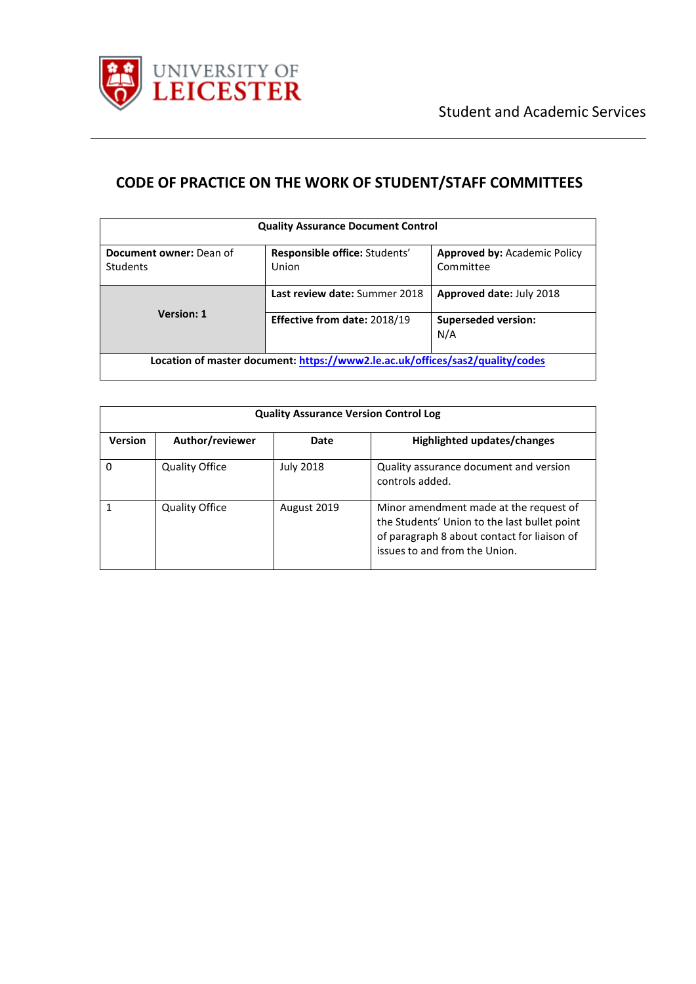

# **CODE OF PRACTICE ON THE WORK OF STUDENT/STAFF COMMITTEES**

| <b>Quality Assurance Document Control</b>                                     |                                        |                                                  |  |  |
|-------------------------------------------------------------------------------|----------------------------------------|--------------------------------------------------|--|--|
| Document owner: Dean of<br>Students                                           | Responsible office: Students'<br>Union | <b>Approved by: Academic Policy</b><br>Committee |  |  |
| <b>Version: 1</b>                                                             | Last review date: Summer 2018          | Approved date: July 2018                         |  |  |
|                                                                               | <b>Effective from date: 2018/19</b>    | <b>Superseded version:</b><br>N/A                |  |  |
| Location of master document: https://www2.le.ac.uk/offices/sas2/quality/codes |                                        |                                                  |  |  |

| <b>Quality Assurance Version Control Log</b> |                       |                  |                                                                                                                                                                        |
|----------------------------------------------|-----------------------|------------------|------------------------------------------------------------------------------------------------------------------------------------------------------------------------|
| <b>Version</b>                               | Author/reviewer       | Date             | Highlighted updates/changes                                                                                                                                            |
| 0                                            | <b>Quality Office</b> | <b>July 2018</b> | Quality assurance document and version<br>controls added.                                                                                                              |
|                                              | <b>Quality Office</b> | August 2019      | Minor amendment made at the request of<br>the Students' Union to the last bullet point<br>of paragraph 8 about contact for liaison of<br>issues to and from the Union. |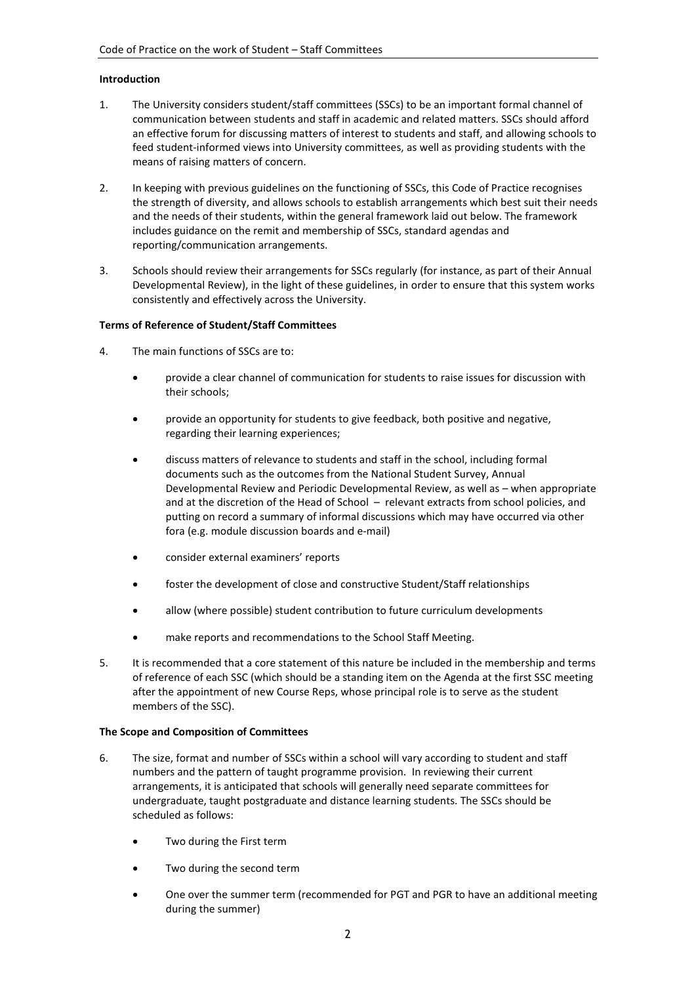#### **Introduction**

- 1. The University considers student/staff committees (SSCs) to be an important formal channel of communication between students and staff in academic and related matters. SSCs should afford an effective forum for discussing matters of interest to students and staff, and allowing schools to feed student-informed views into University committees, as well as providing students with the means of raising matters of concern.
- 2. In keeping with previous guidelines on the functioning of SSCs, this Code of Practice recognises the strength of diversity, and allows schools to establish arrangements which best suit their needs and the needs of their students, within the general framework laid out below. The framework includes guidance on the remit and membership of SSCs, standard agendas and reporting/communication arrangements.
- 3. Schools should review their arrangements for SSCs regularly (for instance, as part of their Annual Developmental Review), in the light of these guidelines, in order to ensure that this system works consistently and effectively across the University.

#### **Terms of Reference of Student/Staff Committees**

- 4. The main functions of SSCs are to:
	- provide a clear channel of communication for students to raise issues for discussion with their schools;
	- provide an opportunity for students to give feedback, both positive and negative, regarding their learning experiences;
	- discuss matters of relevance to students and staff in the school, including formal documents such as the outcomes from the National Student Survey, Annual Developmental Review and Periodic Developmental Review, as well as – when appropriate and at the discretion of the Head of School – relevant extracts from school policies, and putting on record a summary of informal discussions which may have occurred via other fora (e.g. module discussion boards and e-mail)
	- consider external examiners' reports
	- foster the development of close and constructive Student/Staff relationships
	- allow (where possible) student contribution to future curriculum developments
	- make reports and recommendations to the School Staff Meeting.
- 5. It is recommended that a core statement of this nature be included in the membership and terms of reference of each SSC (which should be a standing item on the Agenda at the first SSC meeting after the appointment of new Course Reps, whose principal role is to serve as the student members of the SSC).

#### **The Scope and Composition of Committees**

- 6. The size, format and number of SSCs within a school will vary according to student and staff numbers and the pattern of taught programme provision. In reviewing their current arrangements, it is anticipated that schools will generally need separate committees for undergraduate, taught postgraduate and distance learning students. The SSCs should be scheduled as follows:
	- Two during the First term
	- Two during the second term
	- One over the summer term (recommended for PGT and PGR to have an additional meeting during the summer)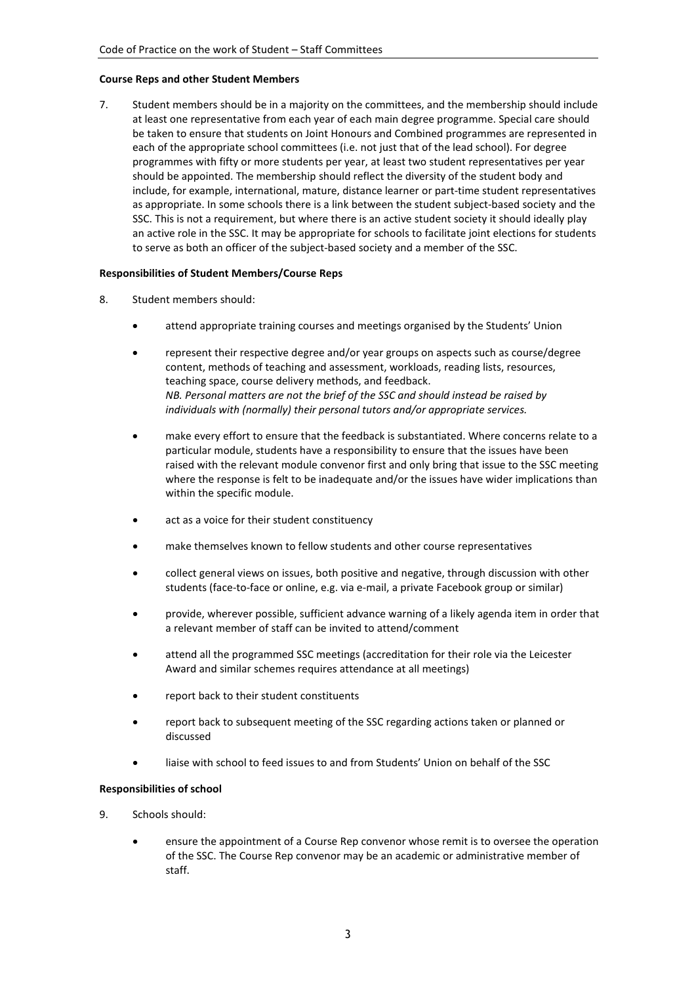#### **Course Reps and other Student Members**

7. Student members should be in a majority on the committees, and the membership should include at least one representative from each year of each main degree programme. Special care should be taken to ensure that students on Joint Honours and Combined programmes are represented in each of the appropriate school committees (i.e. not just that of the lead school). For degree programmes with fifty or more students per year, at least two student representatives per year should be appointed. The membership should reflect the diversity of the student body and include, for example, international, mature, distance learner or part-time student representatives as appropriate. In some schools there is a link between the student subject-based society and the SSC. This is not a requirement, but where there is an active student society it should ideally play an active role in the SSC. It may be appropriate for schools to facilitate joint elections for students to serve as both an officer of the subject-based society and a member of the SSC.

#### **Responsibilities of Student Members/Course Reps**

- 8. Student members should:
	- attend appropriate training courses and meetings organised by the Students' Union
	- represent their respective degree and/or year groups on aspects such as course/degree content, methods of teaching and assessment, workloads, reading lists, resources, teaching space, course delivery methods, and feedback. *NB. Personal matters are not the brief of the SSC and should instead be raised by individuals with (normally) their personal tutors and/or appropriate services.*
	- make every effort to ensure that the feedback is substantiated. Where concerns relate to a particular module, students have a responsibility to ensure that the issues have been raised with the relevant module convenor first and only bring that issue to the SSC meeting where the response is felt to be inadequate and/or the issues have wider implications than within the specific module.
	- act as a voice for their student constituency
	- make themselves known to fellow students and other course representatives
	- collect general views on issues, both positive and negative, through discussion with other students (face-to-face or online, e.g. via e-mail, a private Facebook group or similar)
	- provide, wherever possible, sufficient advance warning of a likely agenda item in order that a relevant member of staff can be invited to attend/comment
	- attend all the programmed SSC meetings (accreditation for their role via the Leicester Award and similar schemes requires attendance at all meetings)
	- report back to their student constituents
	- report back to subsequent meeting of the SSC regarding actions taken or planned or discussed
	- liaise with school to feed issues to and from Students' Union on behalf of the SSC

#### **Responsibilities of school**

- 9. Schools should:
	- ensure the appointment of a Course Rep convenor whose remit is to oversee the operation of the SSC. The Course Rep convenor may be an academic or administrative member of staff.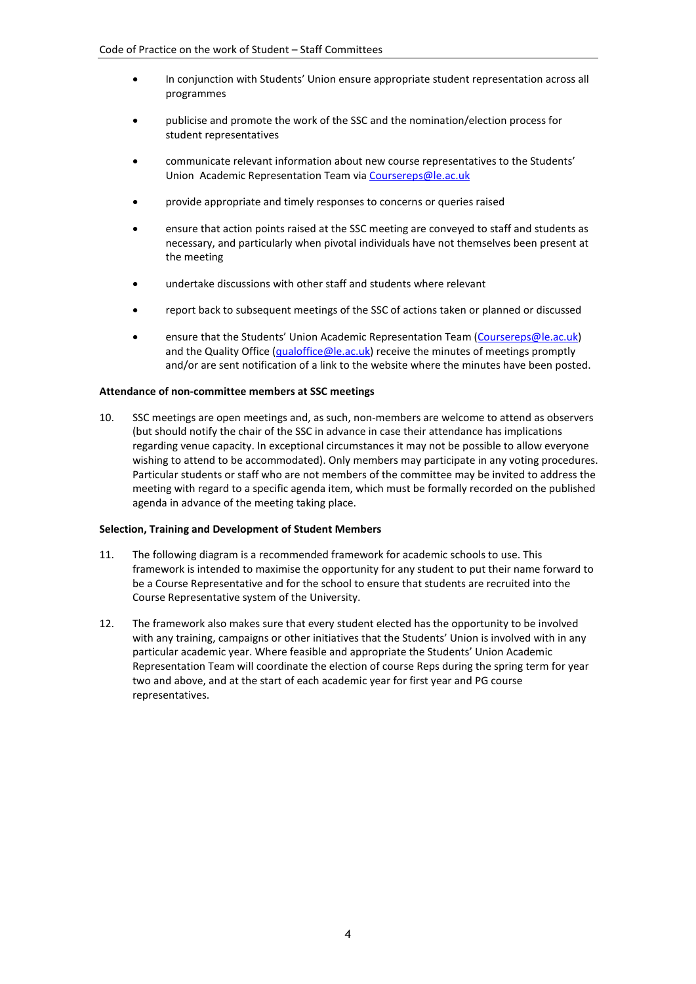- In conjunction with Students' Union ensure appropriate student representation across all programmes
- publicise and promote the work of the SSC and the nomination/election process for student representatives
- communicate relevant information about new course representatives to the Students' Union Academic Representation Team via [Coursereps@le.ac.uk](mailto:Coursereps@le.ac.uk)
- provide appropriate and timely responses to concerns or queries raised
- ensure that action points raised at the SSC meeting are conveyed to staff and students as necessary, and particularly when pivotal individuals have not themselves been present at the meeting
- undertake discussions with other staff and students where relevant
- report back to subsequent meetings of the SSC of actions taken or planned or discussed
- ensure that the Students' Union Academic Representation Team [\(Coursereps@le.ac.uk\)](mailto:Coursereps@le.ac.uk) and the Quality Office [\(qualoffice@le.ac.uk\)](mailto:qualoffice@le.ac.uk) receive the minutes of meetings promptly and/or are sent notification of a link to the website where the minutes have been posted.

#### **Attendance of non-committee members at SSC meetings**

10. SSC meetings are open meetings and, as such, non-members are welcome to attend as observers (but should notify the chair of the SSC in advance in case their attendance has implications regarding venue capacity. In exceptional circumstances it may not be possible to allow everyone wishing to attend to be accommodated). Only members may participate in any voting procedures. Particular students or staff who are not members of the committee may be invited to address the meeting with regard to a specific agenda item, which must be formally recorded on the published agenda in advance of the meeting taking place.

#### **Selection, Training and Development of Student Members**

- 11. The following diagram is a recommended framework for academic schools to use. This framework is intended to maximise the opportunity for any student to put their name forward to be a Course Representative and for the school to ensure that students are recruited into the Course Representative system of the University.
- 12. The framework also makes sure that every student elected has the opportunity to be involved with any training, campaigns or other initiatives that the Students' Union is involved with in any particular academic year. Where feasible and appropriate the Students' Union Academic Representation Team will coordinate the election of course Reps during the spring term for year two and above, and at the start of each academic year for first year and PG course representatives.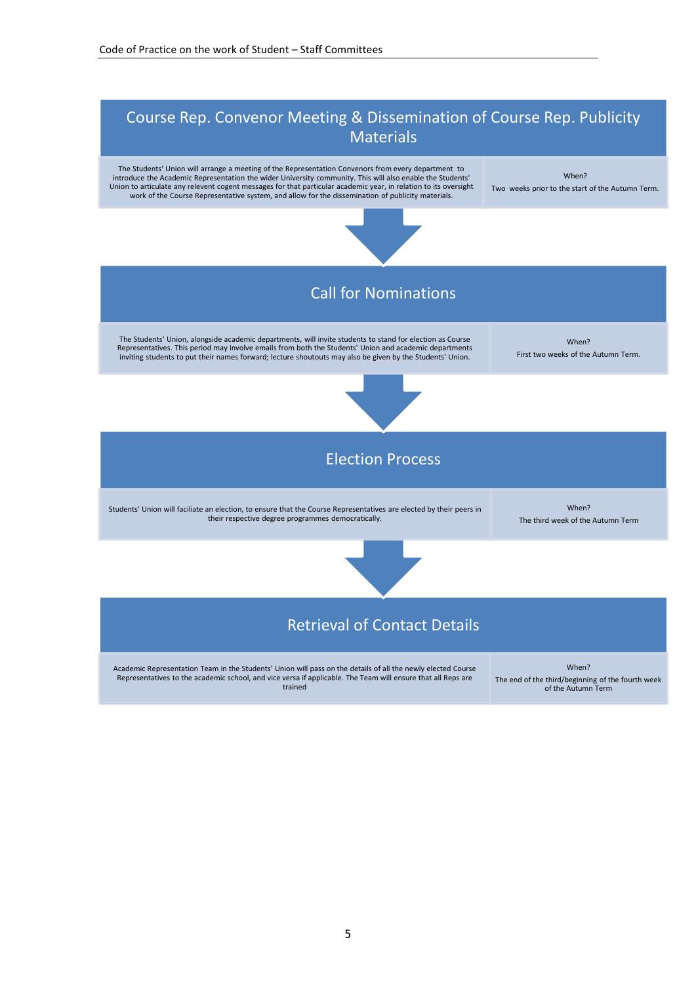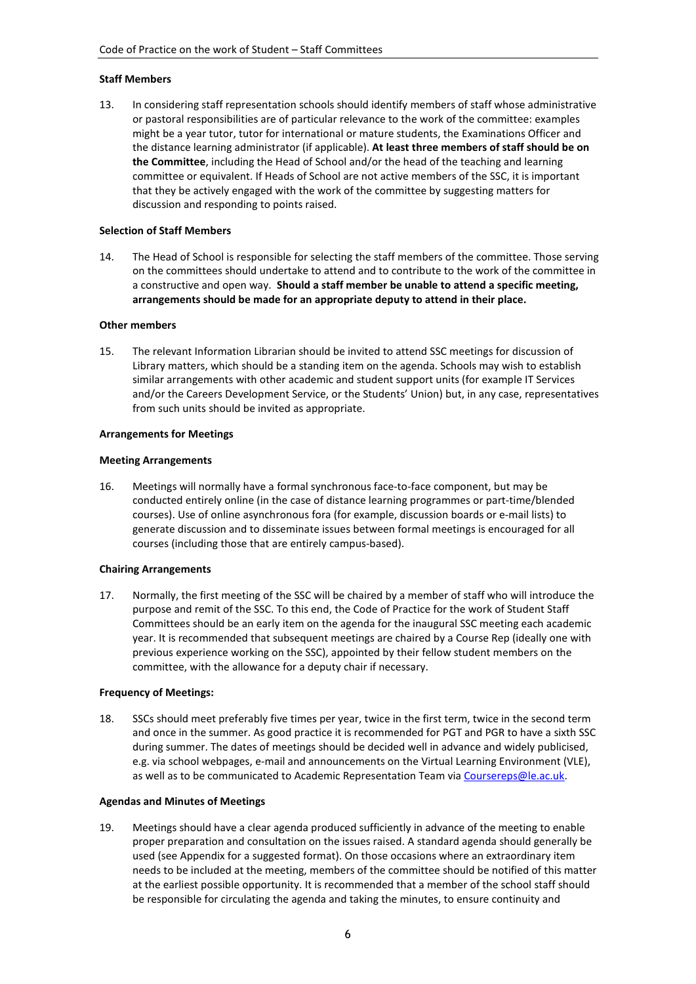#### **Staff Members**

13. In considering staff representation schools should identify members of staff whose administrative or pastoral responsibilities are of particular relevance to the work of the committee: examples might be a year tutor, tutor for international or mature students, the Examinations Officer and the distance learning administrator (if applicable). **At least three members of staff should be on the Committee**, including the Head of School and/or the head of the teaching and learning committee or equivalent. If Heads of School are not active members of the SSC, it is important that they be actively engaged with the work of the committee by suggesting matters for discussion and responding to points raised.

### **Selection of Staff Members**

14. The Head of School is responsible for selecting the staff members of the committee. Those serving on the committees should undertake to attend and to contribute to the work of the committee in a constructive and open way. **Should a staff member be unable to attend a specific meeting, arrangements should be made for an appropriate deputy to attend in their place.**

#### **Other members**

15. The relevant Information Librarian should be invited to attend SSC meetings for discussion of Library matters, which should be a standing item on the agenda. Schools may wish to establish similar arrangements with other academic and student support units (for example IT Services and/or the Careers Development Service, or the Students' Union) but, in any case, representatives from such units should be invited as appropriate.

#### **Arrangements for Meetings**

#### **Meeting Arrangements**

16. Meetings will normally have a formal synchronous face-to-face component, but may be conducted entirely online (in the case of distance learning programmes or part-time/blended courses). Use of online asynchronous fora (for example, discussion boards or e-mail lists) to generate discussion and to disseminate issues between formal meetings is encouraged for all courses (including those that are entirely campus-based).

#### **Chairing Arrangements**

17. Normally, the first meeting of the SSC will be chaired by a member of staff who will introduce the purpose and remit of the SSC. To this end, the Code of Practice for the work of Student Staff Committees should be an early item on the agenda for the inaugural SSC meeting each academic year. It is recommended that subsequent meetings are chaired by a Course Rep (ideally one with previous experience working on the SSC), appointed by their fellow student members on the committee, with the allowance for a deputy chair if necessary.

#### **Frequency of Meetings:**

18. SSCs should meet preferably five times per year, twice in the first term, twice in the second term and once in the summer. As good practice it is recommended for PGT and PGR to have a sixth SSC during summer. The dates of meetings should be decided well in advance and widely publicised, e.g. via school webpages, e-mail and announcements on the Virtual Learning Environment (VLE), as well as to be communicated to Academic Representation Team via [Coursereps@le.ac.uk.](mailto:Coursereps@le.ac.uk)

#### **Agendas and Minutes of Meetings**

19. Meetings should have a clear agenda produced sufficiently in advance of the meeting to enable proper preparation and consultation on the issues raised. A standard agenda should generally be used (see Appendix for a suggested format). On those occasions where an extraordinary item needs to be included at the meeting, members of the committee should be notified of this matter at the earliest possible opportunity. It is recommended that a member of the school staff should be responsible for circulating the agenda and taking the minutes, to ensure continuity and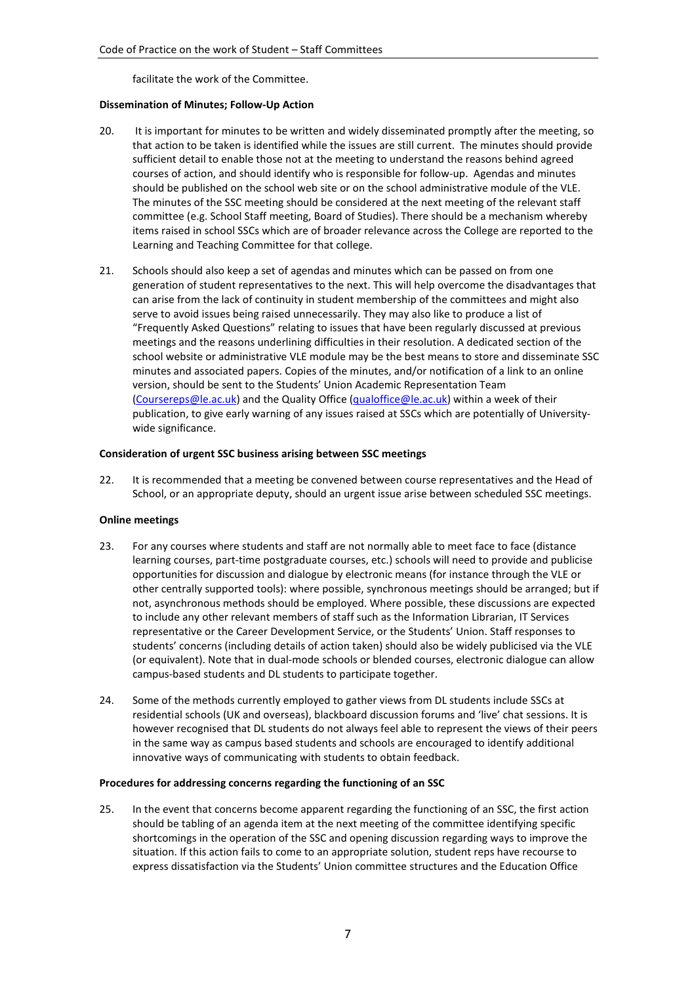facilitate the work of the Committee.

#### **Dissemination of Minutes; Follow-Up Action**

- 20. It is important for minutes to be written and widely disseminated promptly after the meeting, so that action to be taken is identified while the issues are still current. The minutes should provide sufficient detail to enable those not at the meeting to understand the reasons behind agreed courses of action, and should identify who is responsible for follow-up. Agendas and minutes should be published on the school web site or on the school administrative module of the VLE. The minutes of the SSC meeting should be considered at the next meeting of the relevant staff committee (e.g. School Staff meeting, Board of Studies). There should be a mechanism whereby items raised in school SSCs which are of broader relevance across the College are reported to the Learning and Teaching Committee for that college.
- 21. Schools should also keep a set of agendas and minutes which can be passed on from one generation of student representatives to the next. This will help overcome the disadvantages that can arise from the lack of continuity in student membership of the committees and might also serve to avoid issues being raised unnecessarily. They may also like to produce a list of "Frequently Asked Questions" relating to issues that have been regularly discussed at previous meetings and the reasons underlining difficulties in their resolution. A dedicated section of the school website or administrative VLE module may be the best means to store and disseminate SSC minutes and associated papers. Copies of the minutes, and/or notification of a link to an online version, should be sent to the Students' Union Academic Representation Team [\(Coursereps@le.ac.uk\)](mailto:Coursereps@le.ac.uk) and the Quality Office [\(qualoffice@le.ac.uk\)](mailto:qualoffice@le.ac.uk) within a week of their publication, to give early warning of any issues raised at SSCs which are potentially of Universitywide significance.

#### **Consideration of urgent SSC business arising between SSC meetings**

22. It is recommended that a meeting be convened between course representatives and the Head of School, or an appropriate deputy, should an urgent issue arise between scheduled SSC meetings.

#### **Online meetings**

- 23. For any courses where students and staff are not normally able to meet face to face (distance learning courses, part-time postgraduate courses, etc.) schools will need to provide and publicise opportunities for discussion and dialogue by electronic means (for instance through the VLE or other centrally supported tools): where possible, synchronous meetings should be arranged; but if not, asynchronous methods should be employed. Where possible, these discussions are expected to include any other relevant members of staff such as the Information Librarian, IT Services representative or the Career Development Service, or the Students' Union. Staff responses to students' concerns (including details of action taken) should also be widely publicised via the VLE (or equivalent). Note that in dual-mode schools or blended courses, electronic dialogue can allow campus-based students and DL students to participate together.
- 24. Some of the methods currently employed to gather views from DL students include SSCs at residential schools (UK and overseas), blackboard discussion forums and 'live' chat sessions. It is however recognised that DL students do not always feel able to represent the views of their peers in the same way as campus based students and schools are encouraged to identify additional innovative ways of communicating with students to obtain feedback.

#### **Procedures for addressing concerns regarding the functioning of an SSC**

25. In the event that concerns become apparent regarding the functioning of an SSC, the first action should be tabling of an agenda item at the next meeting of the committee identifying specific shortcomings in the operation of the SSC and opening discussion regarding ways to improve the situation. If this action fails to come to an appropriate solution, student reps have recourse to express dissatisfaction via the Students' Union committee structures and the Education Office